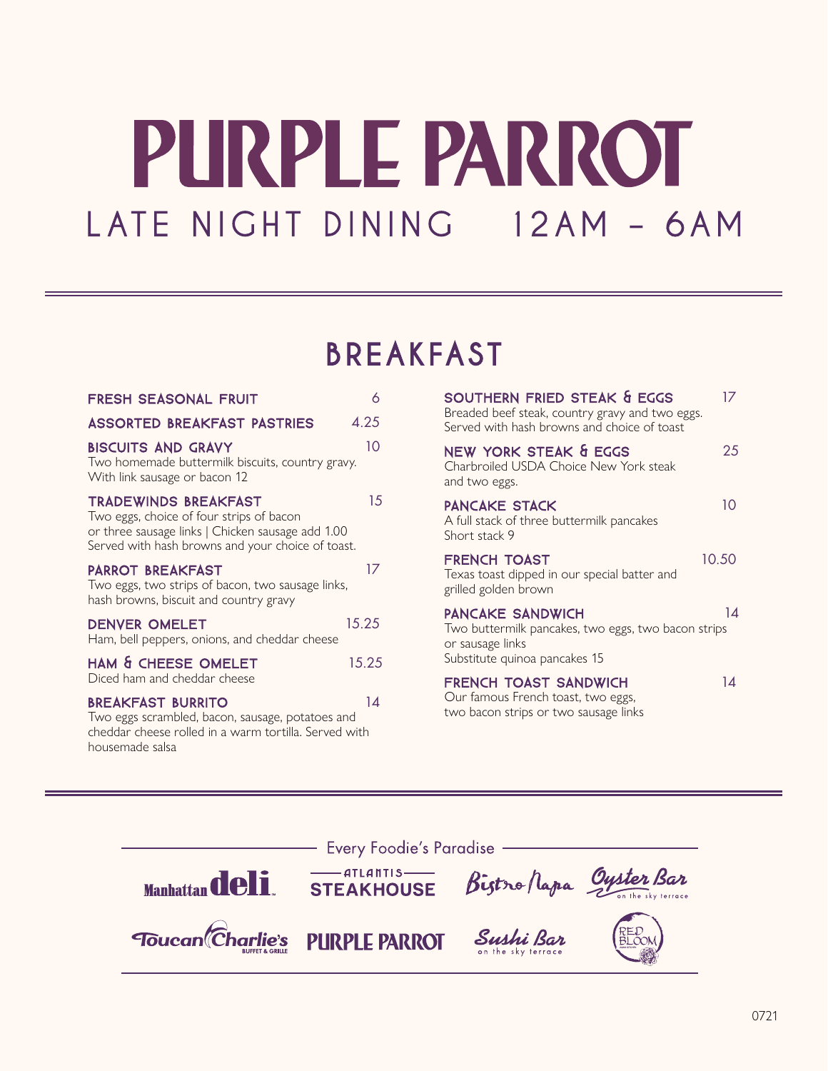# PURPLE PARROT LATE NIGHT DINING 12AM - 6AM

### BREAKFAST BREAKFAST

| <b>FRESH SEASONAL FRUIT</b>                                                                                                                                                       | 6     |
|-----------------------------------------------------------------------------------------------------------------------------------------------------------------------------------|-------|
| <b>ASSORTED BREAKFAST PASTRIES</b>                                                                                                                                                | 4.25  |
| <b>BISCUITS AND GRAVY</b><br>Two homemade buttermilk biscuits, country gravy.<br>With link sausage or bacon 12                                                                    | 10    |
| <b>TRADEWINDS BREAKFAST</b><br>Two eggs, choice of four strips of bacon<br>or three sausage links   Chicken sausage add 1.00<br>Served with hash browns and your choice of toast. | 15    |
| <b>PARROT BREAKFAST</b><br>Two eggs, two strips of bacon, two sausage links,<br>hash browns, biscuit and country gravy                                                            | 17    |
| <b>DENVER OMELET</b><br>Ham, bell peppers, onions, and cheddar cheese                                                                                                             | 15.25 |
| HAM & CHEESE OMELET<br>Diced ham and cheddar cheese                                                                                                                               | 15.25 |
| <b>BREAKFAST BURRITO</b><br>Two eggs scrambled, bacon, sausage, potatoes and<br>cheddar cheese rolled in a warm tortilla. Served with<br>housemade salsa                          | 14    |

| SOUTHERN FRIED STEAK & EGGS<br>Breaded beef steak, country gravy and two eggs.<br>Served with hash browns and choice of toast       | 17    |
|-------------------------------------------------------------------------------------------------------------------------------------|-------|
| NEW YORK STEAK & EGGS<br>Charbroiled USDA Choice New York steak<br>and two eggs.                                                    | 25    |
| <b>PANCAKE STACK</b><br>A full stack of three buttermilk pancakes<br>Short stack 9                                                  | 10    |
| <b>FRENCH TOAST</b><br>Texas toast dipped in our special batter and<br>grilled golden brown                                         | 10.50 |
| <b>PANCAKE SANDWICH</b><br>Two buttermilk pancakes, two eggs, two bacon strips<br>or sausage links<br>Substitute quinoa pancakes 15 | 14    |
| <b>FRENCH TOAST SANDWICH</b><br>Our famous French toast, two eggs,<br>two bacon strips or two sausage links                         | 14    |